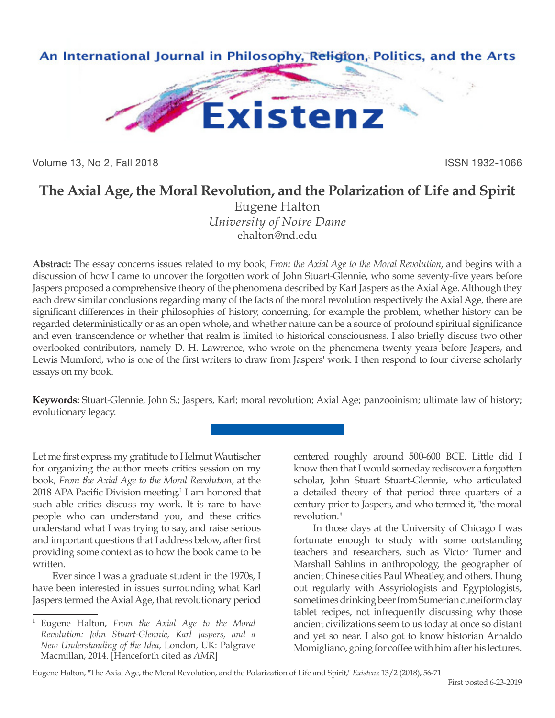

Volume 13, No 2, Fall 2018 ISSN 1932-1066

# **The Axial Age, the Moral Revolution, and the Polarization of Life and Spirit**

Eugene Halton *University of Notre Dame* ehalton@nd.edu

**Abstract:** The essay concerns issues related to my book, *From the Axial Age to the Moral Revolution*, and begins with a discussion of how I came to uncover the forgotten work of John Stuart-Glennie, who some seventy-five years before Jaspers proposed a comprehensive theory of the phenomena described by Karl Jaspers as the Axial Age. Although they each drew similar conclusions regarding many of the facts of the moral revolution respectively the Axial Age, there are significant differences in their philosophies of history, concerning, for example the problem, whether history can be regarded deterministically or as an open whole, and whether nature can be a source of profound spiritual significance and even transcendence or whether that realm is limited to historical consciousness. I also briefly discuss two other overlooked contributors, namely D. H. Lawrence, who wrote on the phenomena twenty years before Jaspers, and Lewis Mumford, who is one of the first writers to draw from Jaspers' work. I then respond to four diverse scholarly essays on my book.

**Keywords:** Stuart-Glennie, John S.; Jaspers, Karl; moral revolution; Axial Age; panzooinism; ultimate law of history; evolutionary legacy.

Let me first express my gratitude to Helmut Wautischer for organizing the author meets critics session on my book, *From the Axial Age to the Moral Revolution*, at the 2018 APA Pacific Division meeting.<sup>1</sup> I am honored that such able critics discuss my work. It is rare to have people who can understand you, and these critics understand what I was trying to say, and raise serious and important questions that I address below, after first providing some context as to how the book came to be written.

Ever since I was a graduate student in the 1970s, I have been interested in issues surrounding what Karl Jaspers termed the Axial Age, that revolutionary period

<sup>1</sup> Eugene Halton, *From the Axial Age to the Moral Revolution: John Stuart-Glennie, Karl Jaspers, and a New Understanding of the Idea*, London, UK: Palgrave Macmillan, 2014. [Henceforth cited as *AMR*]

centered roughly around 500-600 BCE. Little did I know then that I would someday rediscover a forgotten scholar, John Stuart Stuart-Glennie, who articulated a detailed theory of that period three quarters of a century prior to Jaspers, and who termed it, "the moral revolution."

In those days at the University of Chicago I was fortunate enough to study with some outstanding teachers and researchers, such as Victor Turner and Marshall Sahlins in anthropology, the geographer of ancient Chinese cities Paul Wheatley, and others. I hung out regularly with Assyriologists and Egyptologists, sometimes drinking beer from Sumerian cuneiform clay tablet recipes, not infrequently discussing why those ancient civilizations seem to us today at once so distant and yet so near. I also got to know historian Arnaldo Momigliano, going for coffee with him after his lectures.

Eugene Halton, "The Axial Age, the Moral Revolution, and the Polarization of Life and Spirit," *Existenz* 13/2 (2018), 56-71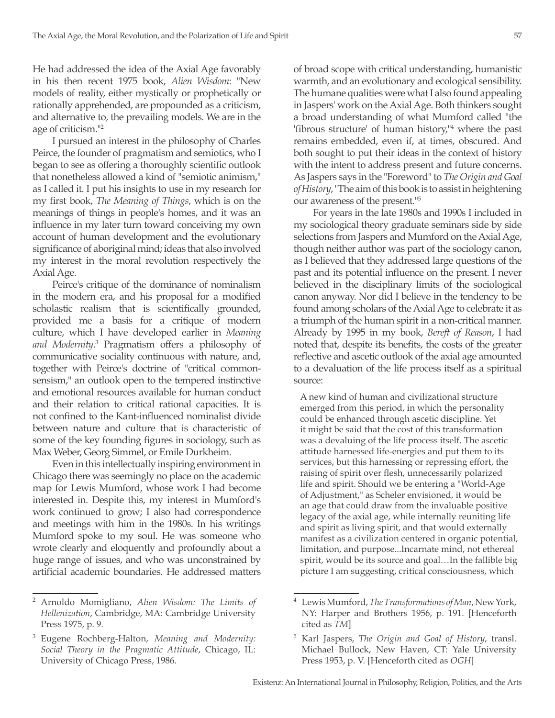He had addressed the idea of the Axial Age favorably in his then recent 1975 book, *Alien Wisdom*: "New models of reality, either mystically or prophetically or rationally apprehended, are propounded as a criticism, and alternative to, the prevailing models. We are in the age of criticism."2

I pursued an interest in the philosophy of Charles Peirce, the founder of pragmatism and semiotics, who I began to see as offering a thoroughly scientific outlook that nonetheless allowed a kind of "semiotic animism," as I called it. I put his insights to use in my research for my first book, *The Meaning of Things*, which is on the meanings of things in people's homes, and it was an influence in my later turn toward conceiving my own account of human development and the evolutionary significance of aboriginal mind; ideas that also involved my interest in the moral revolution respectively the Axial Age.

Peirce's critique of the dominance of nominalism in the modern era, and his proposal for a modified scholastic realism that is scientifically grounded, provided me a basis for a critique of modern culture, which I have developed earlier in *Meaning and Modernity*. 3 Pragmatism offers a philosophy of communicative sociality continuous with nature, and, together with Peirce's doctrine of "critical commonsensism," an outlook open to the tempered instinctive and emotional resources available for human conduct and their relation to critical rational capacities. It is not confined to the Kant-influenced nominalist divide between nature and culture that is characteristic of some of the key founding figures in sociology, such as Max Weber, Georg Simmel, or Emile Durkheim.

Even in this intellectually inspiring environment in Chicago there was seemingly no place on the academic map for Lewis Mumford, whose work I had become interested in. Despite this, my interest in Mumford's work continued to grow; I also had correspondence and meetings with him in the 1980s. In his writings Mumford spoke to my soul. He was someone who wrote clearly and eloquently and profoundly about a huge range of issues, and who was unconstrained by artificial academic boundaries. He addressed matters

of broad scope with critical understanding, humanistic warmth, and an evolutionary and ecological sensibility. The humane qualities were what I also found appealing in Jaspers' work on the Axial Age. Both thinkers sought a broad understanding of what Mumford called "the 'fibrous structure' of human history,"<sup>4</sup> where the past remains embedded, even if, at times, obscured. And both sought to put their ideas in the context of history with the intent to address present and future concerns. As Jaspers says in the "Foreword" to *The Origin and Goal of History*, "The aim of this book is to assist in heightening our awareness of the present."5

For years in the late 1980s and 1990s I included in my sociological theory graduate seminars side by side selections from Jaspers and Mumford on the Axial Age, though neither author was part of the sociology canon, as I believed that they addressed large questions of the past and its potential influence on the present. I never believed in the disciplinary limits of the sociological canon anyway. Nor did I believe in the tendency to be found among scholars of the Axial Age to celebrate it as a triumph of the human spirit in a non-critical manner. Already by 1995 in my book, *Bereft of Reason*, I had noted that, despite its benefits, the costs of the greater reflective and ascetic outlook of the axial age amounted to a devaluation of the life process itself as a spiritual source:

A new kind of human and civilizational structure emerged from this period, in which the personality could be enhanced through ascetic discipline. Yet it might be said that the cost of this transformation was a devaluing of the life process itself. The ascetic attitude harnessed life-energies and put them to its services, but this harnessing or repressing effort, the raising of spirit over flesh, unnecessarily polarized life and spirit. Should we be entering a "World-Age of Adjustment," as Scheler envisioned, it would be an age that could draw from the invaluable positive legacy of the axial age, while internally reuniting life and spirit as living spirit, and that would externally manifest as a civilization centered in organic potential, limitation, and purpose...Incarnate mind, not ethereal spirit, would be its source and goal…In the fallible big picture I am suggesting, critical consciousness, which

<sup>2</sup> Arnoldo Momigliano, *Alien Wisdom: The Limits of Hellenization*, Cambridge, MA: Cambridge University Press 1975, p. 9.

<sup>3</sup> Eugene Rochberg-Halton, *Meaning and Modernity: Social Theory in the Pragmatic Attitude*, Chicago, IL: University of Chicago Press, 1986.

<sup>4</sup> Lewis Mumford, *The Transformations of Man*, New York, NY: Harper and Brothers 1956, p. 191. [Henceforth cited as *TM*]

<sup>5</sup> Karl Jaspers, *The Origin and Goal of History*, transl. Michael Bullock, New Haven, CT: Yale University Press 1953, p. V. [Henceforth cited as *OGH*]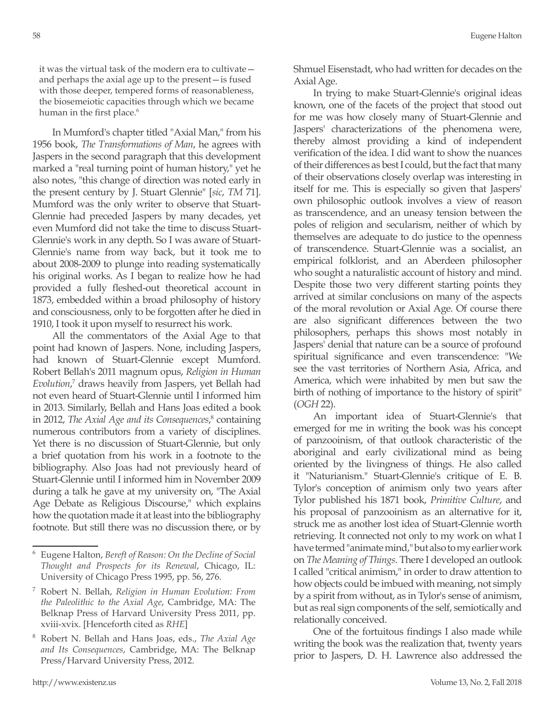it was the virtual task of the modern era to cultivate and perhaps the axial age up to the present—is fused with those deeper, tempered forms of reasonableness, the biosemeiotic capacities through which we became human in the first place.<sup>6</sup>

In Mumford's chapter titled "Axial Man," from his 1956 book, *The Transformations of Man*, he agrees with Jaspers in the second paragraph that this development marked a "real turning point of human history," yet he also notes, "this change of direction was noted early in the present century by J. Stuart Glennie" [*sic*, *TM* 71]. Mumford was the only writer to observe that Stuart-Glennie had preceded Jaspers by many decades, yet even Mumford did not take the time to discuss Stuart-Glennie's work in any depth. So I was aware of Stuart-Glennie's name from way back, but it took me to about 2008-2009 to plunge into reading systematically his original works. As I began to realize how he had provided a fully fleshed-out theoretical account in 1873, embedded within a broad philosophy of history and consciousness, only to be forgotten after he died in 1910, I took it upon myself to resurrect his work.

All the commentators of the Axial Age to that point had known of Jaspers. None, including Jaspers, had known of Stuart-Glennie except Mumford. Robert Bellah's 2011 magnum opus, *Religion in Human Evolution*, 7 draws heavily from Jaspers, yet Bellah had not even heard of Stuart-Glennie until I informed him in 2013. Similarly, Bellah and Hans Joas edited a book in 2012, *The Axial Age and its Consequences*, 8 containing numerous contributors from a variety of disciplines. Yet there is no discussion of Stuart-Glennie, but only a brief quotation from his work in a footnote to the bibliography. Also Joas had not previously heard of Stuart-Glennie until I informed him in November 2009 during a talk he gave at my university on, "The Axial Age Debate as Religious Discourse," which explains how the quotation made it at least into the bibliography footnote. But still there was no discussion there, or by

Shmuel Eisenstadt, who had written for decades on the Axial Age.

In trying to make Stuart-Glennie's original ideas known, one of the facets of the project that stood out for me was how closely many of Stuart-Glennie and Jaspers' characterizations of the phenomena were, thereby almost providing a kind of independent verification of the idea. I did want to show the nuances of their differences as best I could, but the fact that many of their observations closely overlap was interesting in itself for me. This is especially so given that Jaspers' own philosophic outlook involves a view of reason as transcendence, and an uneasy tension between the poles of religion and secularism, neither of which by themselves are adequate to do justice to the openness of transcendence. Stuart-Glennie was a socialist, an empirical folklorist, and an Aberdeen philosopher who sought a naturalistic account of history and mind. Despite those two very different starting points they arrived at similar conclusions on many of the aspects of the moral revolution or Axial Age. Of course there are also significant differences between the two philosophers, perhaps this shows most notably in Jaspers' denial that nature can be a source of profound spiritual significance and even transcendence: "We see the vast territories of Northern Asia, Africa, and America, which were inhabited by men but saw the birth of nothing of importance to the history of spirit" (*OGH* 22).

An important idea of Stuart-Glennie's that emerged for me in writing the book was his concept of panzooinism, of that outlook characteristic of the aboriginal and early civilizational mind as being oriented by the livingness of things. He also called it "Naturianism." Stuart-Glennie's critique of E. B. Tylor's conception of animism only two years after Tylor published his 1871 book, *Primitive Culture*, and his proposal of panzooinism as an alternative for it, struck me as another lost idea of Stuart-Glennie worth retrieving. It connected not only to my work on what I have termed "animate mind," but also to my earlier work on *The Meaning of Things*. There I developed an outlook I called "critical animism," in order to draw attention to how objects could be imbued with meaning, not simply by a spirit from without, as in Tylor's sense of animism, but as real sign components of the self, semiotically and relationally conceived.

One of the fortuitous findings I also made while writing the book was the realization that, twenty years prior to Jaspers, D. H. Lawrence also addressed the

<sup>6</sup> Eugene Halton, *Bereft of Reason: On the Decline of Social Thought and Prospects for its Renewal*, Chicago, IL: University of Chicago Press 1995, pp. 56, 276.

<sup>7</sup> Robert N. Bellah, *Religion in Human Evolution: From the Paleolithic to the Axial Age*, Cambridge, MA: The Belknap Press of Harvard University Press 2011, pp. xviii-xvix. [Henceforth cited as *RHE*]

<sup>8</sup> Robert N. Bellah and Hans Joas, eds., *The Axial Age and Its Consequences*, Cambridge, MA: The Belknap Press/Harvard University Press, 2012.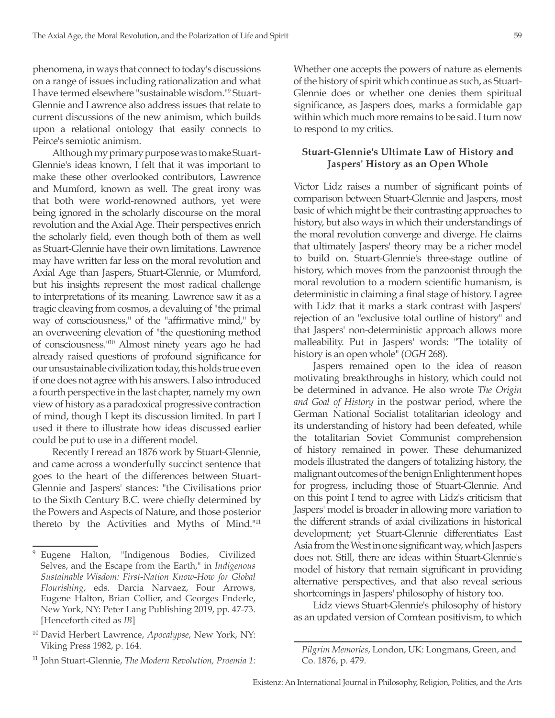phenomena, in ways that connect to today's discussions on a range of issues including rationalization and what I have termed elsewhere "sustainable wisdom."9 Stuart-Glennie and Lawrence also address issues that relate to current discussions of the new animism, which builds upon a relational ontology that easily connects to Peirce's semiotic animism.

Although my primary purpose was to make Stuart-Glennie's ideas known, I felt that it was important to make these other overlooked contributors, Lawrence and Mumford, known as well. The great irony was that both were world-renowned authors, yet were being ignored in the scholarly discourse on the moral revolution and the Axial Age. Their perspectives enrich the scholarly field, even though both of them as well as Stuart-Glennie have their own limitations. Lawrence may have written far less on the moral revolution and Axial Age than Jaspers, Stuart-Glennie, or Mumford, but his insights represent the most radical challenge to interpretations of its meaning. Lawrence saw it as a tragic cleaving from cosmos, a devaluing of "the primal way of consciousness," of the "affirmative mind," by an overweening elevation of "the questioning method of consciousness."10 Almost ninety years ago he had already raised questions of profound significance for our unsustainable civilization today, this holds true even if one does not agree with his answers. I also introduced a fourth perspective in the last chapter, namely my own view of history as a paradoxical progressive contraction of mind, though I kept its discussion limited. In part I used it there to illustrate how ideas discussed earlier could be put to use in a different model.

Recently I reread an 1876 work by Stuart-Glennie, and came across a wonderfully succinct sentence that goes to the heart of the differences between Stuart-Glennie and Jaspers' stances: "the Civilisations prior to the Sixth Century B.C. were chiefly determined by the Powers and Aspects of Nature, and those posterior thereto by the Activities and Myths of Mind."11 Whether one accepts the powers of nature as elements of the history of spirit which continue as such, as Stuart-Glennie does or whether one denies them spiritual significance, as Jaspers does, marks a formidable gap within which much more remains to be said. I turn now to respond to my critics.

## **Stuart-Glennie's Ultimate Law of History and Jaspers' History as an Open Whole**

Victor Lidz raises a number of significant points of comparison between Stuart-Glennie and Jaspers, most basic of which might be their contrasting approaches to history, but also ways in which their understandings of the moral revolution converge and diverge. He claims that ultimately Jaspers' theory may be a richer model to build on. Stuart-Glennie's three-stage outline of history, which moves from the panzoonist through the moral revolution to a modern scientific humanism, is deterministic in claiming a final stage of history. I agree with Lidz that it marks a stark contrast with Jaspers' rejection of an "exclusive total outline of history" and that Jaspers' non-deterministic approach allows more malleability. Put in Jaspers' words: "The totality of history is an open whole" (*OGH* 268).

Jaspers remained open to the idea of reason motivating breakthroughs in history, which could not be determined in advance. He also wrote *The Origin and Goal of History* in the postwar period, where the German National Socialist totalitarian ideology and its understanding of history had been defeated, while the totalitarian Soviet Communist comprehension of history remained in power. These dehumanized models illustrated the dangers of totalizing history, the malignant outcomes of the benign Enlightenment hopes for progress, including those of Stuart-Glennie. And on this point I tend to agree with Lidz's criticism that Jaspers' model is broader in allowing more variation to the different strands of axial civilizations in historical development; yet Stuart-Glennie differentiates East Asia from the West in one significant way, which Jaspers does not. Still, there are ideas within Stuart-Glennie's model of history that remain significant in providing alternative perspectives, and that also reveal serious shortcomings in Jaspers' philosophy of history too.

Lidz views Stuart-Glennie's philosophy of history as an updated version of Comtean positivism, to which

<sup>9</sup> Eugene Halton, "Indigenous Bodies, Civilized Selves, and the Escape from the Earth," in *Indigenous Sustainable Wisdom: First-Nation Know-How for Global Flourishing*, eds. Darcia Narvaez, Four Arrows, Eugene Halton, Brian Collier, and Georges Enderle, New York, NY: Peter Lang Publishing 2019, pp. 47-73. [Henceforth cited as *IB*]

<sup>10</sup> David Herbert Lawrence, *Apocalypse*, New York, NY: Viking Press 1982, p. 164.

<sup>11</sup> John Stuart-Glennie, *The Modern Revolution, Proemia 1:* 

*Pilgrim Memories*, London, UK: Longmans, Green, and Co. 1876, p. 479.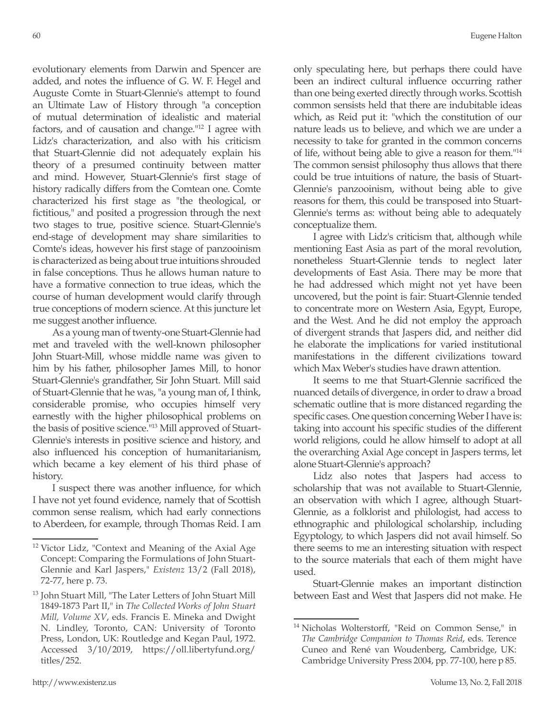evolutionary elements from Darwin and Spencer are added, and notes the influence of G. W. F. Hegel and Auguste Comte in Stuart-Glennie's attempt to found an Ultimate Law of History through "a conception of mutual determination of idealistic and material factors, and of causation and change."12 I agree with Lidz's characterization, and also with his criticism that Stuart-Glennie did not adequately explain his theory of a presumed continuity between matter and mind. However, Stuart-Glennie's first stage of history radically differs from the Comtean one. Comte characterized his first stage as "the theological, or fictitious," and posited a progression through the next two stages to true, positive science. Stuart-Glennie's end-stage of development may share similarities to Comte's ideas, however his first stage of panzooinism is characterized as being about true intuitions shrouded in false conceptions. Thus he allows human nature to have a formative connection to true ideas, which the course of human development would clarify through true conceptions of modern science. At this juncture let me suggest another influence.

As a young man of twenty-one Stuart-Glennie had met and traveled with the well-known philosopher John Stuart-Mill, whose middle name was given to him by his father, philosopher James Mill, to honor Stuart-Glennie's grandfather, Sir John Stuart. Mill said of Stuart-Glennie that he was, "a young man of, I think, considerable promise, who occupies himself very earnestly with the higher philosophical problems on the basis of positive science."13 Mill approved of Stuart-Glennie's interests in positive science and history, and also influenced his conception of humanitarianism, which became a key element of his third phase of history.

I suspect there was another influence, for which I have not yet found evidence, namely that of Scottish common sense realism, which had early connections to Aberdeen, for example, through Thomas Reid. I am only speculating here, but perhaps there could have been an indirect cultural influence occurring rather than one being exerted directly through works. Scottish common sensists held that there are indubitable ideas which, as Reid put it: "which the constitution of our nature leads us to believe, and which we are under a necessity to take for granted in the common concerns of life, without being able to give a reason for them."14 The common sensist philosophy thus allows that there could be true intuitions of nature, the basis of Stuart-Glennie's panzooinism, without being able to give reasons for them, this could be transposed into Stuart-Glennie's terms as: without being able to adequately conceptualize them.

I agree with Lidz's criticism that, although while mentioning East Asia as part of the moral revolution, nonetheless Stuart-Glennie tends to neglect later developments of East Asia. There may be more that he had addressed which might not yet have been uncovered, but the point is fair: Stuart-Glennie tended to concentrate more on Western Asia, Egypt, Europe, and the West. And he did not employ the approach of divergent strands that Jaspers did, and neither did he elaborate the implications for varied institutional manifestations in the different civilizations toward which Max Weber's studies have drawn attention.

It seems to me that Stuart-Glennie sacrificed the nuanced details of divergence, in order to draw a broad schematic outline that is more distanced regarding the specific cases. One question concerning Weber I have is: taking into account his specific studies of the different world religions, could he allow himself to adopt at all the overarching Axial Age concept in Jaspers terms, let alone Stuart-Glennie's approach?

Lidz also notes that Jaspers had access to scholarship that was not available to Stuart-Glennie, an observation with which I agree, although Stuart-Glennie, as a folklorist and philologist, had access to ethnographic and philological scholarship, including Egyptology, to which Jaspers did not avail himself. So there seems to me an interesting situation with respect to the source materials that each of them might have used.

Stuart-Glennie makes an important distinction between East and West that Jaspers did not make. He

<sup>12</sup> Victor Lidz, "Context and Meaning of the Axial Age Concept: Comparing the Formulations of John Stuart-Glennie and Karl Jaspers," *Existenz* 13/2 (Fall 2018), 72-77, here p. 73.

<sup>&</sup>lt;sup>13</sup> John Stuart Mill, "The Later Letters of John Stuart Mill 1849-1873 Part II," in *The Collected Works of John Stuart Mill, Volume XV*, eds. Francis E. Mineka and Dwight N. Lindley, Toronto, CAN: University of Toronto Press, London, UK: Routledge and Kegan Paul, 1972. Accessed 3/10/2019, https://oll.libertyfund.org/ titles/252.

<sup>&</sup>lt;sup>14</sup> Nicholas Wolterstorff, "Reid on Common Sense," in *The Cambridge Companion to Thomas Reid*, eds. Terence Cuneo and René van Woudenberg, Cambridge, UK: Cambridge University Press 2004, pp. 77-100, here p 85.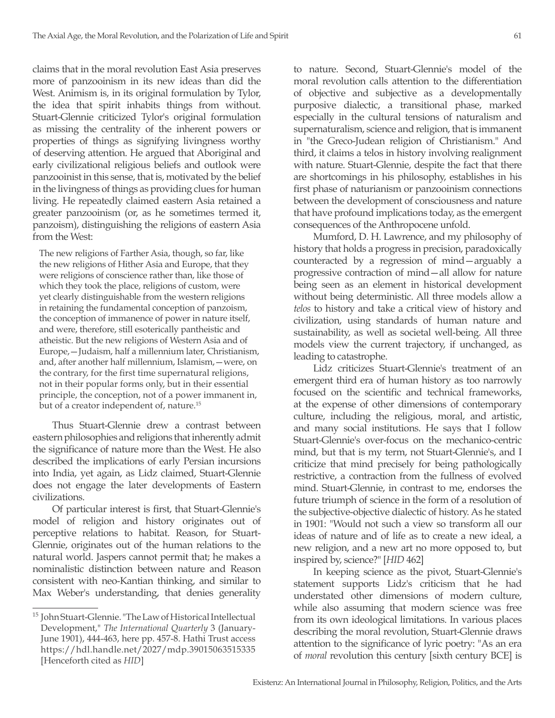claims that in the moral revolution East Asia preserves more of panzooinism in its new ideas than did the West. Animism is, in its original formulation by Tylor, the idea that spirit inhabits things from without. Stuart-Glennie criticized Tylor's original formulation as missing the centrality of the inherent powers or properties of things as signifying livingness worthy of deserving attention. He argued that Aboriginal and early civilizational religious beliefs and outlook were panzooinist in this sense, that is, motivated by the belief in the livingness of things as providing clues for human living. He repeatedly claimed eastern Asia retained a greater panzooinism (or, as he sometimes termed it, panzoism), distinguishing the religions of eastern Asia from the West:

The new religions of Farther Asia, though, so far, like the new religions of Hither Asia and Europe, that they were religions of conscience rather than, like those of which they took the place, religions of custom, were yet clearly distinguishable from the western religions in retaining the fundamental conception of panzoism, the conception of immanence of power in nature itself, and were, therefore, still esoterically pantheistic and atheistic. But the new religions of Western Asia and of Europe,—Judaism, half a millennium later, Christianism, and, after another half millennium, Islamism,—were, on the contrary, for the first time supernatural religions, not in their popular forms only, but in their essential principle, the conception, not of a power immanent in, but of a creator independent of, nature.15

Thus Stuart-Glennie drew a contrast between eastern philosophies and religions that inherently admit the significance of nature more than the West. He also described the implications of early Persian incursions into India, yet again, as Lidz claimed, Stuart-Glennie does not engage the later developments of Eastern civilizations.

Of particular interest is first, that Stuart-Glennie's model of religion and history originates out of perceptive relations to habitat. Reason, for Stuart-Glennie, originates out of the human relations to the natural world. Jaspers cannot permit that; he makes a nominalistic distinction between nature and Reason consistent with neo-Kantian thinking, and similar to Max Weber's understanding, that denies generality to nature. Second, Stuart-Glennie's model of the moral revolution calls attention to the differentiation of objective and subjective as a developmentally purposive dialectic, a transitional phase, marked especially in the cultural tensions of naturalism and supernaturalism, science and religion, that is immanent in "the Greco-Judean religion of Christianism." And third, it claims a telos in history involving realignment with nature. Stuart-Glennie, despite the fact that there are shortcomings in his philosophy, establishes in his first phase of naturianism or panzooinism connections between the development of consciousness and nature that have profound implications today, as the emergent consequences of the Anthropocene unfold.

Mumford, D. H. Lawrence, and my philosophy of history that holds a progress in precision, paradoxically counteracted by a regression of mind—arguably a progressive contraction of mind—all allow for nature being seen as an element in historical development without being deterministic. All three models allow a *telos* to history and take a critical view of history and civilization, using standards of human nature and sustainability, as well as societal well-being. All three models view the current trajectory, if unchanged, as leading to catastrophe.

Lidz criticizes Stuart-Glennie's treatment of an emergent third era of human history as too narrowly focused on the scientific and technical frameworks, at the expense of other dimensions of contemporary culture, including the religious, moral, and artistic, and many social institutions. He says that I follow Stuart-Glennie's over-focus on the mechanico-centric mind, but that is my term, not Stuart-Glennie's, and I criticize that mind precisely for being pathologically restrictive, a contraction from the fullness of evolved mind. Stuart-Glennie, in contrast to me, endorses the future triumph of science in the form of a resolution of the subjective-objective dialectic of history. As he stated in 1901: "Would not such a view so transform all our ideas of nature and of life as to create a new ideal, a new religion, and a new art no more opposed to, but inspired by, science?" [*HID* 462]

In keeping science as the pivot, Stuart-Glennie's statement supports Lidz's criticism that he had understated other dimensions of modern culture, while also assuming that modern science was free from its own ideological limitations. In various places describing the moral revolution, Stuart-Glennie draws attention to the significance of lyric poetry: "As an era of *moral* revolution this century [sixth century BCE] is

<sup>15</sup> John Stuart-Glennie. "The Law of Historical Intellectual Development," *The International Quarterly* 3 (January-June 1901), 444-463, here pp. 457-8. Hathi Trust access https://hdl.handle.net/2027/mdp.39015063515335 [Henceforth cited as *HID*]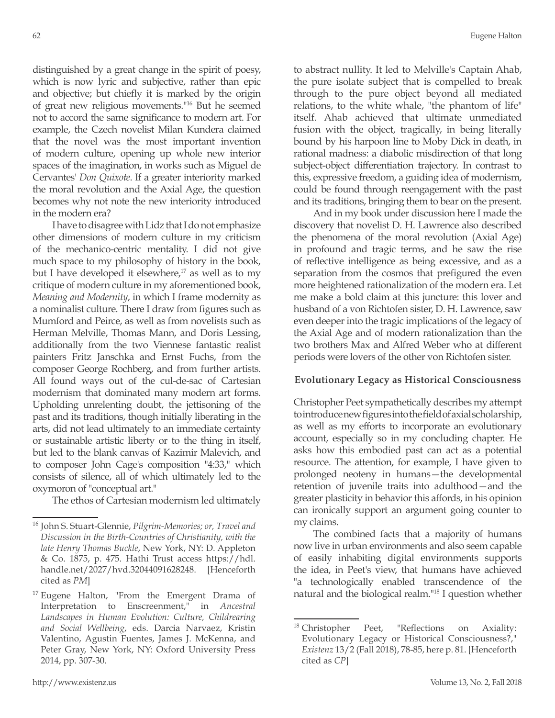distinguished by a great change in the spirit of poesy, which is now lyric and subjective, rather than epic and objective; but chiefly it is marked by the origin of great new religious movements."16 But he seemed not to accord the same significance to modern art. For example, the Czech novelist Milan Kundera claimed that the novel was the most important invention of modern culture, opening up whole new interior spaces of the imagination, in works such as Miguel de Cervantes' *Don Quixote*. If a greater interiority marked the moral revolution and the Axial Age, the question becomes why not note the new interiority introduced in the modern era?

I have to disagree with Lidz that I do not emphasize other dimensions of modern culture in my criticism of the mechanico-centric mentality. I did not give much space to my philosophy of history in the book, but I have developed it elsewhere, $17$  as well as to my critique of modern culture in my aforementioned book, *Meaning and Modernity*, in which I frame modernity as a nominalist culture. There I draw from figures such as Mumford and Peirce, as well as from novelists such as Herman Melville, Thomas Mann, and Doris Lessing, additionally from the two Viennese fantastic realist painters Fritz Janschka and Ernst Fuchs, from the composer George Rochberg, and from further artists. All found ways out of the cul-de-sac of Cartesian modernism that dominated many modern art forms. Upholding unrelenting doubt, the jettisoning of the past and its traditions, though initially liberating in the arts, did not lead ultimately to an immediate certainty or sustainable artistic liberty or to the thing in itself, but led to the blank canvas of Kazimir Malevich, and to composer John Cage's composition "4:33," which consists of silence, all of which ultimately led to the oxymoron of "conceptual art."

The ethos of Cartesian modernism led ultimately

to abstract nullity. It led to Melville's Captain Ahab, the pure isolate subject that is compelled to break through to the pure object beyond all mediated relations, to the white whale, "the phantom of life" itself. Ahab achieved that ultimate unmediated fusion with the object, tragically, in being literally bound by his harpoon line to Moby Dick in death, in rational madness: a diabolic misdirection of that long subject-object differentiation trajectory. In contrast to this, expressive freedom, a guiding idea of modernism, could be found through reengagement with the past and its traditions, bringing them to bear on the present.

And in my book under discussion here I made the discovery that novelist D. H. Lawrence also described the phenomena of the moral revolution (Axial Age) in profound and tragic terms, and he saw the rise of reflective intelligence as being excessive, and as a separation from the cosmos that prefigured the even more heightened rationalization of the modern era. Let me make a bold claim at this juncture: this lover and husband of a von Richtofen sister, D. H. Lawrence, saw even deeper into the tragic implications of the legacy of the Axial Age and of modern rationalization than the two brothers Max and Alfred Weber who at different periods were lovers of the other von Richtofen sister.

### **Evolutionary Legacy as Historical Consciousness**

Christopher Peet sympathetically describes my attempt to introduce new figures into the field of axial scholarship, as well as my efforts to incorporate an evolutionary account, especially so in my concluding chapter. He asks how this embodied past can act as a potential resource. The attention, for example, I have given to prolonged neoteny in humans—the developmental retention of juvenile traits into adulthood—and the greater plasticity in behavior this affords, in his opinion can ironically support an argument going counter to my claims.

The combined facts that a majority of humans now live in urban environments and also seem capable of easily inhabiting digital environments supports the idea, in Peet's view, that humans have achieved "a technologically enabled transcendence of the natural and the biological realm."18 I question whether

<sup>16</sup> John S. Stuart-Glennie, *Pilgrim-Memories; or, Travel and Discussion in the Birth-Countries of Christianity, with the late Henry Thomas Buckle*, New York, NY: D. Appleton & Co. 1875, p. 475. Hathi Trust access https://hdl. handle.net/2027/hvd.32044091628248. [Henceforth cited as *PM*]

 $17$  Eugene Halton, "From the Emergent Drama of Interpretation to Enscreenment," in *Ancestral Landscapes in Human Evolution: Culture, Childrearing and Social Wellbeing*, eds. Darcia Narvaez, Kristin Valentino, Agustin Fuentes, James J. McKenna, and Peter Gray, New York, NY: Oxford University Press 2014, pp. 307-30.

<sup>&</sup>lt;sup>18</sup> Christopher Peet, "Reflections on Axiality: Evolutionary Legacy or Historical Consciousness?," *Existenz* 13/2 (Fall 2018), 78-85, here p. 81. [Henceforth cited as *CP*]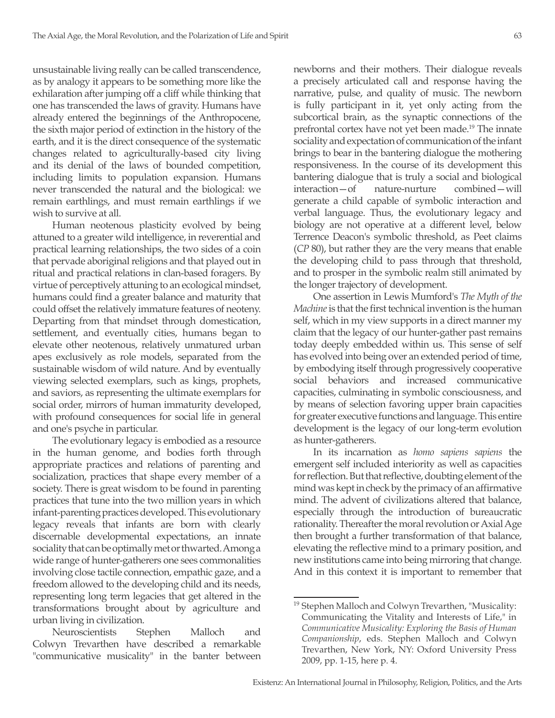unsustainable living really can be called transcendence, as by analogy it appears to be something more like the exhilaration after jumping off a cliff while thinking that one has transcended the laws of gravity. Humans have already entered the beginnings of the Anthropocene, the sixth major period of extinction in the history of the earth, and it is the direct consequence of the systematic changes related to agriculturally-based city living and its denial of the laws of bounded competition, including limits to population expansion. Humans never transcended the natural and the biological: we remain earthlings, and must remain earthlings if we wish to survive at all.

Human neotenous plasticity evolved by being attuned to a greater wild intelligence, in reverential and practical learning relationships, the two sides of a coin that pervade aboriginal religions and that played out in ritual and practical relations in clan-based foragers. By virtue of perceptively attuning to an ecological mindset, humans could find a greater balance and maturity that could offset the relatively immature features of neoteny. Departing from that mindset through domestication, settlement, and eventually cities, humans began to elevate other neotenous, relatively unmatured urban apes exclusively as role models, separated from the sustainable wisdom of wild nature. And by eventually viewing selected exemplars, such as kings, prophets, and saviors, as representing the ultimate exemplars for social order, mirrors of human immaturity developed, with profound consequences for social life in general and one's psyche in particular.

The evolutionary legacy is embodied as a resource in the human genome, and bodies forth through appropriate practices and relations of parenting and socialization, practices that shape every member of a society. There is great wisdom to be found in parenting practices that tune into the two million years in which infant-parenting practices developed. This evolutionary legacy reveals that infants are born with clearly discernable developmental expectations, an innate sociality that can be optimally met or thwarted. Among a wide range of hunter-gatherers one sees commonalities involving close tactile connection, empathic gaze, and a freedom allowed to the developing child and its needs, representing long term legacies that get altered in the transformations brought about by agriculture and urban living in civilization.

Neuroscientists Stephen Malloch and Colwyn Trevarthen have described a remarkable "communicative musicality" in the banter between newborns and their mothers. Their dialogue reveals a precisely articulated call and response having the narrative, pulse, and quality of music. The newborn is fully participant in it, yet only acting from the subcortical brain, as the synaptic connections of the prefrontal cortex have not yet been made.19 The innate sociality and expectation of communication of the infant brings to bear in the bantering dialogue the mothering responsiveness. In the course of its development this bantering dialogue that is truly a social and biological interaction—of nature-nurture combined—will generate a child capable of symbolic interaction and verbal language. Thus, the evolutionary legacy and biology are not operative at a different level, below Terrence Deacon's symbolic threshold, as Peet claims (*CP* 80), but rather they are the very means that enable the developing child to pass through that threshold, and to prosper in the symbolic realm still animated by the longer trajectory of development.

One assertion in Lewis Mumford's *The Myth of the Machine* is that the first technical invention is the human self, which in my view supports in a direct manner my claim that the legacy of our hunter-gather past remains today deeply embedded within us. This sense of self has evolved into being over an extended period of time, by embodying itself through progressively cooperative social behaviors and increased communicative capacities, culminating in symbolic consciousness, and by means of selection favoring upper brain capacities for greater executive functions and language. This entire development is the legacy of our long-term evolution as hunter-gatherers.

In its incarnation as *homo sapiens sapiens* the emergent self included interiority as well as capacities for reflection. But that reflective, doubting element of the mind was kept in check by the primacy of an affirmative mind. The advent of civilizations altered that balance, especially through the introduction of bureaucratic rationality. Thereafter the moral revolution or Axial Age then brought a further transformation of that balance, elevating the reflective mind to a primary position, and new institutions came into being mirroring that change. And in this context it is important to remember that

<sup>&</sup>lt;sup>19</sup> Stephen Malloch and Colwyn Trevarthen, "Musicality: Communicating the Vitality and Interests of Life," in *Communicative Musicality: Exploring the Basis of Human Companionship*, eds. Stephen Malloch and Colwyn Trevarthen, New York, NY: Oxford University Press 2009, pp. 1-15, here p. 4.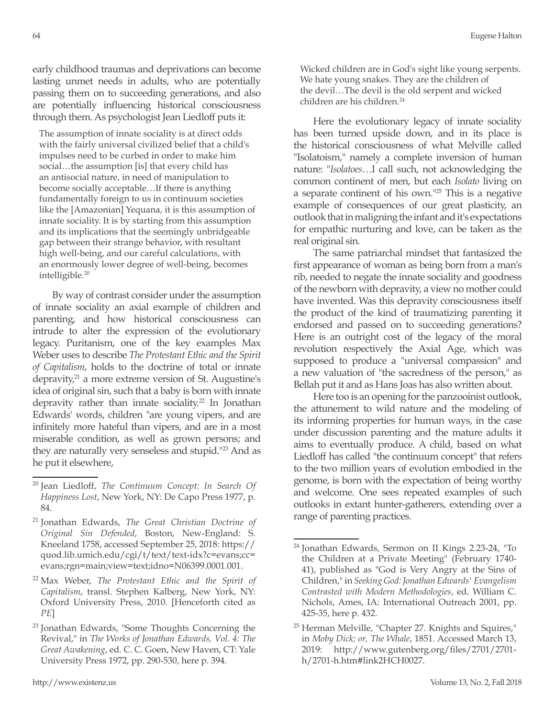early childhood traumas and deprivations can become lasting unmet needs in adults, who are potentially passing them on to succeeding generations, and also are potentially influencing historical consciousness through them. As psychologist Jean Liedloff puts it:

The assumption of innate sociality is at direct odds with the fairly universal civilized belief that a child's impulses need to be curbed in order to make him social…the assumption [is] that every child has an antisocial nature, in need of manipulation to become socially acceptable…If there is anything fundamentally foreign to us in continuum societies like the [Amazonian] Yequana, it is this assumption of innate sociality. It is by starting from this assumption and its implications that the seemingly unbridgeable gap between their strange behavior, with resultant high well-being, and our careful calculations, with an enormously lower degree of well-being, becomes intelligible.20

By way of contrast consider under the assumption of innate sociality an axial example of children and parenting, and how historical consciousness can intrude to alter the expression of the evolutionary legacy. Puritanism, one of the key examples Max Weber uses to describe *The Protestant Ethic and the Spirit of Capitalism*, holds to the doctrine of total or innate depravity, $21$  a more extreme version of St. Augustine's idea of original sin, such that a baby is born with innate depravity rather than innate sociality.<sup>22</sup> In Jonathan Edwards' words, children "are young vipers, and are infinitely more hateful than vipers, and are in a most miserable condition, as well as grown persons; and they are naturally very senseless and stupid.<sup>"23</sup> And as he put it elsewhere,

Here the evolutionary legacy of innate sociality has been turned upside down, and in its place is the historical consciousness of what Melville called "Isolatoism," namely a complete inversion of human nature: "*Isolatoes*…I call such, not acknowledging the common continent of men, but each *Isolato* living on a separate continent of his own."25 This is a negative example of consequences of our great plasticity, an outlook that in maligning the infant and it's expectations for empathic nurturing and love, can be taken as the real original sin.

The same patriarchal mindset that fantasized the first appearance of woman as being born from a man's rib, needed to negate the innate sociality and goodness of the newborn with depravity, a view no mother could have invented. Was this depravity consciousness itself the product of the kind of traumatizing parenting it endorsed and passed on to succeeding generations? Here is an outright cost of the legacy of the moral revolution respectively the Axial Age, which was supposed to produce a "universal compassion" and a new valuation of "the sacredness of the person," as Bellah put it and as Hans Joas has also written about.

Here too is an opening for the panzooinist outlook, the attunement to wild nature and the modeling of its informing properties for human ways, in the case under discussion parenting and the mature adults it aims to eventually produce. A child, based on what Liedloff has called "the continuum concept" that refers to the two million years of evolution embodied in the genome, is born with the expectation of being worthy and welcome. One sees repeated examples of such outlooks in extant hunter-gatherers, extending over a range of parenting practices.

<sup>20</sup> Jean Liedloff, *The Continuum Concept: In Search Of Happiness Lost*, New York, NY: De Capo Press 1977, p. 84.

<sup>21</sup> Jonathan Edwards, *The Great Christian Doctrine of Original Sin Defended*, Boston, New-England: S. Kneeland 1758, accessed September 25, 2018: https:// quod.lib.umich.edu/cgi/t/text/text-idx?c=evans;cc= evans;rgn=main;view=text;idno=N06399.0001.001.

<sup>22</sup> Max Weber, *The Protestant Ethic and the Spirit of Capitalism*, transl. Stephen Kalberg, New York, NY: Oxford University Press, 2010. [Henceforth cited as *PE*]

<sup>&</sup>lt;sup>23</sup> Jonathan Edwards, "Some Thoughts Concerning the Revival," in *The Works of Jonathan Edwards, Vol. 4: The Great Awakening*, ed. C. C. Goen, New Haven, CT: Yale University Press 1972, pp. 290-530, here p. 394.

<sup>24</sup> Jonathan Edwards, Sermon on II Kings 2.23-24, "To the Children at a Private Meeting" (February 1740- 41), published as "God is Very Angry at the Sins of Children," in *Seeking God: Jonathan Edwards' Evangelism Contrasted with Modern Methodologies*, ed. William C. Nichols, Ames, IA: International Outreach 2001, pp. 425-35, here p. 432.

<sup>&</sup>lt;sup>25</sup> Herman Melville, "Chapter 27. Knights and Squires," in *Moby Dick; or, The Whale*, 1851. Accessed March 13, 2019: http://www.gutenberg.org/files/2701/2701 h/2701-h.htm#link2HCH0027.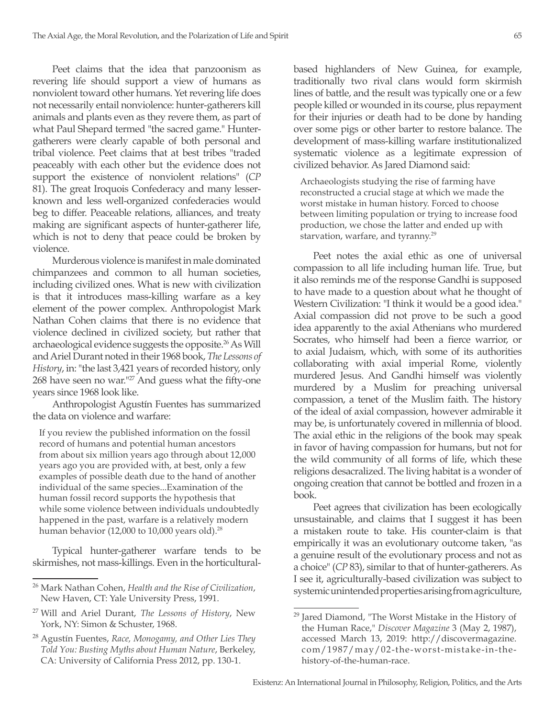Peet claims that the idea that panzoonism as revering life should support a view of humans as nonviolent toward other humans. Yet revering life does not necessarily entail nonviolence: hunter-gatherers kill animals and plants even as they revere them, as part of what Paul Shepard termed "the sacred game." Huntergatherers were clearly capable of both personal and tribal violence. Peet claims that at best tribes "traded peaceably with each other but the evidence does not support the existence of nonviolent relations" (*CP* 81). The great Iroquois Confederacy and many lesserknown and less well-organized confederacies would beg to differ. Peaceable relations, alliances, and treaty making are significant aspects of hunter-gatherer life, which is not to deny that peace could be broken by violence.

Murderous violence is manifest in male dominated chimpanzees and common to all human societies, including civilized ones. What is new with civilization is that it introduces mass-killing warfare as a key element of the power complex. Anthropologist Mark Nathan Cohen claims that there is no evidence that violence declined in civilized society, but rather that archaeological evidence suggests the opposite.<sup>26</sup> As Will and Ariel Durant noted in their 1968 book, *The Lessons of History*, in: "the last 3,421 years of recorded history, only 268 have seen no war."<sup>27</sup> And guess what the fifty-one years since 1968 look like.

Anthropologist Agustín Fuentes has summarized the data on violence and warfare:

If you review the published information on the fossil record of humans and potential human ancestors from about six million years ago through about 12,000 years ago you are provided with, at best, only a few examples of possible death due to the hand of another individual of the same species...Examination of the human fossil record supports the hypothesis that while some violence between individuals undoubtedly happened in the past, warfare is a relatively modern human behavior (12,000 to 10,000 years old).<sup>28</sup>

Typical hunter-gatherer warfare tends to be skirmishes, not mass-killings. Even in the horticulturalbased highlanders of New Guinea, for example, traditionally two rival clans would form skirmish lines of battle, and the result was typically one or a few people killed or wounded in its course, plus repayment for their injuries or death had to be done by handing over some pigs or other barter to restore balance. The development of mass-killing warfare institutionalized systematic violence as a legitimate expression of civilized behavior. As Jared Diamond said:

Archaeologists studying the rise of farming have reconstructed a crucial stage at which we made the worst mistake in human history. Forced to choose between limiting population or trying to increase food production, we chose the latter and ended up with starvation, warfare, and tyranny.<sup>29</sup>

Peet notes the axial ethic as one of universal compassion to all life including human life. True, but it also reminds me of the response Gandhi is supposed to have made to a question about what he thought of Western Civilization: "I think it would be a good idea." Axial compassion did not prove to be such a good idea apparently to the axial Athenians who murdered Socrates, who himself had been a fierce warrior, or to axial Judaism, which, with some of its authorities collaborating with axial imperial Rome, violently murdered Jesus. And Gandhi himself was violently murdered by a Muslim for preaching universal compassion, a tenet of the Muslim faith. The history of the ideal of axial compassion, however admirable it may be, is unfortunately covered in millennia of blood. The axial ethic in the religions of the book may speak in favor of having compassion for humans, but not for the wild community of all forms of life, which these religions desacralized. The living habitat is a wonder of ongoing creation that cannot be bottled and frozen in a book.

Peet agrees that civilization has been ecologically unsustainable, and claims that I suggest it has been a mistaken route to take. His counter-claim is that empirically it was an evolutionary outcome taken, "as a genuine result of the evolutionary process and not as a choice" (*CP* 83), similar to that of hunter-gatherers. As I see it, agriculturally-based civilization was subject to systemic unintended properties arising from agriculture,

<sup>26</sup> Mark Nathan Cohen, *Health and the Rise of Civilization*, New Haven, CT: Yale University Press, 1991.

<sup>27</sup> Will and Ariel Durant, *The Lessons of History*, New York, NY: Simon & Schuster, 1968.

<sup>28</sup> Agustín Fuentes, *Race, Monogamy, and Other Lies They Told You: Busting Myths about Human Nature*, Berkeley, CA: University of California Press 2012, pp. 130-1.

<sup>29</sup> Jared Diamond, "The Worst Mistake in the History of the Human Race," *Discover Magazine* 3 (May 2, 1987), accessed March 13, 2019: http://discovermagazine. com/1987/may/02-the-worst-mistake-in-thehistory-of-the-human-race.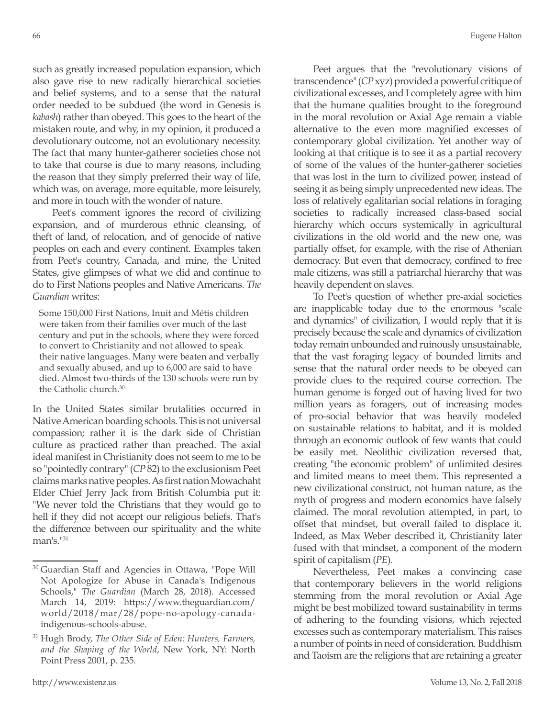such as greatly increased population expansion, which also gave rise to new radically hierarchical societies and belief systems, and to a sense that the natural order needed to be subdued (the word in Genesis is *kabash*) rather than obeyed. This goes to the heart of the mistaken route, and why, in my opinion, it produced a devolutionary outcome, not an evolutionary necessity. The fact that many hunter-gatherer societies chose not to take that course is due to many reasons, including the reason that they simply preferred their way of life, which was, on average, more equitable, more leisurely, and more in touch with the wonder of nature.

Peet's comment ignores the record of civilizing expansion, and of murderous ethnic cleansing, of theft of land, of relocation, and of genocide of native peoples on each and every continent. Examples taken from Peet's country, Canada, and mine, the United States, give glimpses of what we did and continue to do to First Nations peoples and Native Americans. *The Guardian* writes:

Some 150,000 First Nations, Inuit and Métis children were taken from their families over much of the last century and put in the schools, where they were forced to convert to Christianity and not allowed to speak their native languages. Many were beaten and verbally and sexually abused, and up to 6,000 are said to have died. Almost two-thirds of the 130 schools were run by the Catholic church.<sup>30</sup>

In the United States similar brutalities occurred in Native American boarding schools. This is not universal compassion; rather it is the dark side of Christian culture as practiced rather than preached. The axial ideal manifest in Christianity does not seem to me to be so "pointedly contrary" (*CP* 82) to the exclusionism Peet claims marks native peoples. As first nation Mowachaht Elder Chief Jerry Jack from British Columbia put it: "We never told the Christians that they would go to hell if they did not accept our religious beliefs. That's the difference between our spirituality and the white man's <sup>1131</sup>

Peet argues that the "revolutionary visions of transcendence" (*CP* xyz) provided a powerful critique of civilizational excesses, and I completely agree with him that the humane qualities brought to the foreground in the moral revolution or Axial Age remain a viable alternative to the even more magnified excesses of contemporary global civilization. Yet another way of looking at that critique is to see it as a partial recovery of some of the values of the hunter-gatherer societies that was lost in the turn to civilized power, instead of seeing it as being simply unprecedented new ideas. The loss of relatively egalitarian social relations in foraging societies to radically increased class-based social hierarchy which occurs systemically in agricultural civilizations in the old world and the new one, was partially offset, for example, with the rise of Athenian democracy. But even that democracy, confined to free male citizens, was still a patriarchal hierarchy that was heavily dependent on slaves.

To Peet's question of whether pre-axial societies are inapplicable today due to the enormous "scale and dynamics" of civilization, I would reply that it is precisely because the scale and dynamics of civilization today remain unbounded and ruinously unsustainable, that the vast foraging legacy of bounded limits and sense that the natural order needs to be obeyed can provide clues to the required course correction. The human genome is forged out of having lived for two million years as foragers, out of increasing modes of pro-social behavior that was heavily modeled on sustainable relations to habitat, and it is molded through an economic outlook of few wants that could be easily met. Neolithic civilization reversed that, creating "the economic problem" of unlimited desires and limited means to meet them. This represented a new civilizational construct, not human nature, as the myth of progress and modern economics have falsely claimed. The moral revolution attempted, in part, to offset that mindset, but overall failed to displace it. Indeed, as Max Weber described it, Christianity later fused with that mindset, a component of the modern spirit of capitalism (*PE*).

Nevertheless, Peet makes a convincing case that contemporary believers in the world religions stemming from the moral revolution or Axial Age might be best mobilized toward sustainability in terms of adhering to the founding visions, which rejected excesses such as contemporary materialism. This raises a number of points in need of consideration. Buddhism and Taoism are the religions that are retaining a greater

<sup>30</sup> Guardian Staff and Agencies in Ottawa, "Pope Will Not Apologize for Abuse in Canada's Indigenous Schools," *The Guardian* (March 28, 2018). Accessed March 14, 2019: https://www.theguardian.com/ world/2018/mar/28/pope-no-apology-canadaindigenous-schools-abuse.

<sup>31</sup> Hugh Brody, *The Other Side of Eden: Hunters, Farmers, and the Shaping of the World*, New York, NY: North Point Press 2001, p. 235.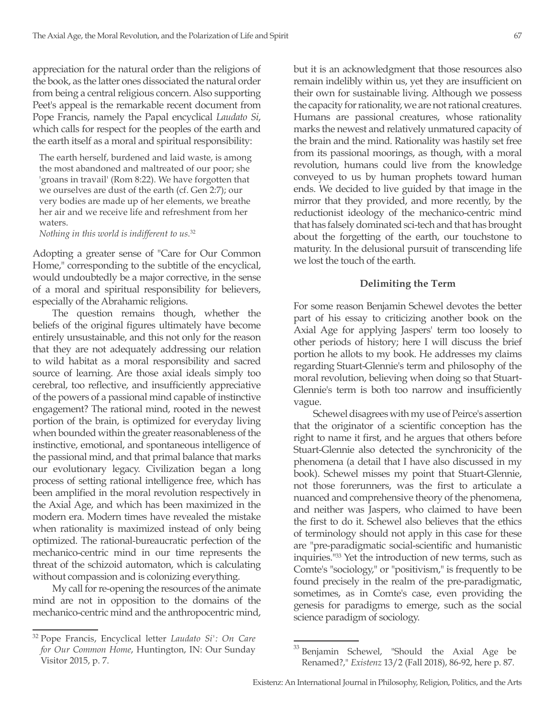appreciation for the natural order than the religions of the book, as the latter ones dissociated the natural order from being a central religious concern. Also supporting Peet's appeal is the remarkable recent document from Pope Francis, namely the Papal encyclical *Laudato Si*, which calls for respect for the peoples of the earth and the earth itself as a moral and spiritual responsibility:

The earth herself, burdened and laid waste, is among the most abandoned and maltreated of our poor; she 'groans in travail' (Rom 8:22). We have forgotten that we ourselves are dust of the earth (cf. Gen 2:7); our very bodies are made up of her elements, we breathe her air and we receive life and refreshment from her waters.

*Nothing in this world is indifferent to us.*<sup>32</sup>

Adopting a greater sense of "Care for Our Common Home," corresponding to the subtitle of the encyclical, would undoubtedly be a major corrective, in the sense of a moral and spiritual responsibility for believers, especially of the Abrahamic religions.

The question remains though, whether the beliefs of the original figures ultimately have become entirely unsustainable, and this not only for the reason that they are not adequately addressing our relation to wild habitat as a moral responsibility and sacred source of learning. Are those axial ideals simply too cerebral, too reflective, and insufficiently appreciative of the powers of a passional mind capable of instinctive engagement? The rational mind, rooted in the newest portion of the brain, is optimized for everyday living when bounded within the greater reasonableness of the instinctive, emotional, and spontaneous intelligence of the passional mind, and that primal balance that marks our evolutionary legacy. Civilization began a long process of setting rational intelligence free, which has been amplified in the moral revolution respectively in the Axial Age, and which has been maximized in the modern era. Modern times have revealed the mistake when rationality is maximized instead of only being optimized. The rational-bureaucratic perfection of the mechanico-centric mind in our time represents the threat of the schizoid automaton, which is calculating without compassion and is colonizing everything.

My call for re-opening the resources of the animate mind are not in opposition to the domains of the mechanico-centric mind and the anthropocentric mind, but it is an acknowledgment that those resources also remain indelibly within us, yet they are insufficient on their own for sustainable living. Although we possess the capacity for rationality, we are not rational creatures. Humans are passional creatures, whose rationality marks the newest and relatively unmatured capacity of the brain and the mind. Rationality was hastily set free from its passional moorings, as though, with a moral revolution, humans could live from the knowledge conveyed to us by human prophets toward human ends. We decided to live guided by that image in the mirror that they provided, and more recently, by the reductionist ideology of the mechanico-centric mind that has falsely dominated sci-tech and that has brought about the forgetting of the earth, our touchstone to maturity. In the delusional pursuit of transcending life we lost the touch of the earth.

#### **Delimiting the Term**

For some reason Benjamin Schewel devotes the better part of his essay to criticizing another book on the Axial Age for applying Jaspers' term too loosely to other periods of history; here I will discuss the brief portion he allots to my book. He addresses my claims regarding Stuart-Glennie's term and philosophy of the moral revolution, believing when doing so that Stuart-Glennie's term is both too narrow and insufficiently vague.

Schewel disagrees with my use of Peirce's assertion that the originator of a scientific conception has the right to name it first, and he argues that others before Stuart-Glennie also detected the synchronicity of the phenomena (a detail that I have also discussed in my book). Schewel misses my point that Stuart-Glennie, not those forerunners, was the first to articulate a nuanced and comprehensive theory of the phenomena, and neither was Jaspers, who claimed to have been the first to do it. Schewel also believes that the ethics of terminology should not apply in this case for these are "pre-paradigmatic social-scientific and humanistic inquiries."33 Yet the introduction of new terms, such as Comte's "sociology," or "positivism," is frequently to be found precisely in the realm of the pre-paradigmatic, sometimes, as in Comte's case, even providing the genesis for paradigms to emerge, such as the social science paradigm of sociology.

<sup>32</sup> Pope Francis, Encyclical letter *Laudato Si': On Care for Our Common Home*, Huntington, IN: Our Sunday Visitor 2015, p. 7.

Benjamin Schewel, "Should the Axial Age be Renamed?," *Existenz* 13/2 (Fall 2018), 86-92, here p. 87.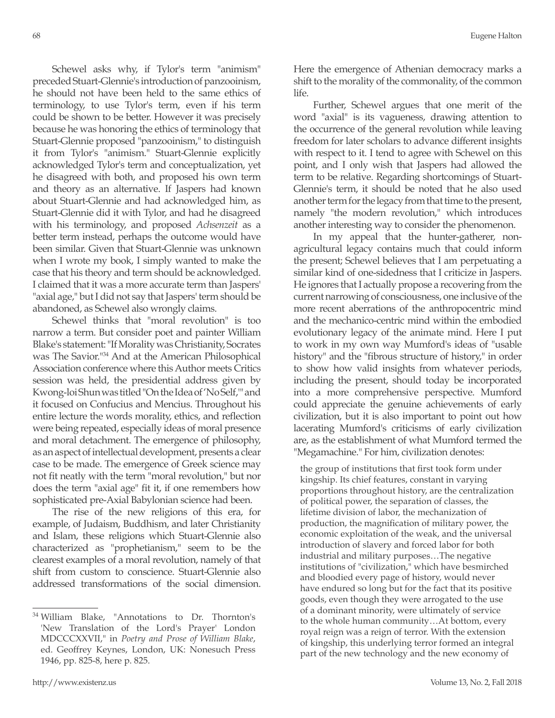Schewel asks why, if Tylor's term "animism" preceded Stuart-Glennie's introduction of panzooinism, he should not have been held to the same ethics of terminology, to use Tylor's term, even if his term could be shown to be better. However it was precisely because he was honoring the ethics of terminology that Stuart-Glennie proposed "panzooinism," to distinguish it from Tylor's "animism." Stuart-Glennie explicitly acknowledged Tylor's term and conceptualization, yet he disagreed with both, and proposed his own term and theory as an alternative. If Jaspers had known about Stuart-Glennie and had acknowledged him, as Stuart-Glennie did it with Tylor, and had he disagreed with his terminology, and proposed *Achsenzeit* as a better term instead, perhaps the outcome would have been similar. Given that Stuart-Glennie was unknown when I wrote my book, I simply wanted to make the case that his theory and term should be acknowledged. I claimed that it was a more accurate term than Jaspers' "axial age," but I did not say that Jaspers' term should be abandoned, as Schewel also wrongly claims.

Schewel thinks that "moral revolution" is too narrow a term. But consider poet and painter William Blake's statement: "If Morality was Christianity, Socrates was The Savior."34 And at the American Philosophical Association conference where this Author meets Critics session was held, the presidential address given by Kwong-loi Shun was titled "On the Idea of 'No Self,'" and it focused on Confucius and Mencius. Throughout his entire lecture the words morality, ethics, and reflection were being repeated, especially ideas of moral presence and moral detachment. The emergence of philosophy, as an aspect of intellectual development, presents a clear case to be made. The emergence of Greek science may not fit neatly with the term "moral revolution," but nor does the term "axial age" fit it, if one remembers how sophisticated pre-Axial Babylonian science had been.

The rise of the new religions of this era, for example, of Judaism, Buddhism, and later Christianity and Islam, these religions which Stuart-Glennie also characterized as "prophetianism," seem to be the clearest examples of a moral revolution, namely of that shift from custom to conscience. Stuart-Glennie also addressed transformations of the social dimension. Here the emergence of Athenian democracy marks a shift to the morality of the commonality, of the common life.

Further, Schewel argues that one merit of the word "axial" is its vagueness, drawing attention to the occurrence of the general revolution while leaving freedom for later scholars to advance different insights with respect to it. I tend to agree with Schewel on this point, and I only wish that Jaspers had allowed the term to be relative. Regarding shortcomings of Stuart-Glennie's term, it should be noted that he also used another term for the legacy from that time to the present, namely "the modern revolution," which introduces another interesting way to consider the phenomenon.

In my appeal that the hunter-gatherer, nonagricultural legacy contains much that could inform the present; Schewel believes that I am perpetuating a similar kind of one-sidedness that I criticize in Jaspers. He ignores that I actually propose a recovering from the current narrowing of consciousness, one inclusive of the more recent aberrations of the anthropocentric mind and the mechanico-centric mind within the embodied evolutionary legacy of the animate mind. Here I put to work in my own way Mumford's ideas of "usable history" and the "fibrous structure of history," in order to show how valid insights from whatever periods, including the present, should today be incorporated into a more comprehensive perspective. Mumford could appreciate the genuine achievements of early civilization, but it is also important to point out how lacerating Mumford's criticisms of early civilization are, as the establishment of what Mumford termed the "Megamachine." For him, civilization denotes:

the group of institutions that first took form under kingship. Its chief features, constant in varying proportions throughout history, are the centralization of political power, the separation of classes, the lifetime division of labor, the mechanization of production, the magnification of military power, the economic exploitation of the weak, and the universal introduction of slavery and forced labor for both industrial and military purposes…The negative institutions of "civilization," which have besmirched and bloodied every page of history, would never have endured so long but for the fact that its positive goods, even though they were arrogated to the use of a dominant minority, were ultimately of service to the whole human community…At bottom, every royal reign was a reign of terror. With the extension of kingship, this underlying terror formed an integral part of the new technology and the new economy of

<sup>34</sup> William Blake, "Annotations to Dr. Thornton's 'New Translation of the Lord's Prayer' London MDCCCXXVII," in *Poetry and Prose of William Blake*, ed. Geoffrey Keynes, London, UK: Nonesuch Press 1946, pp. 825-8, here p. 825.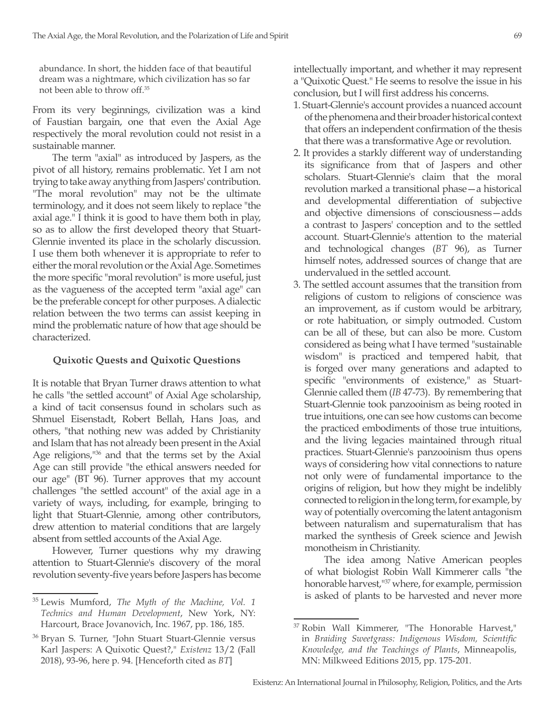abundance. In short, the hidden face of that beautiful dream was a nightmare, which civilization has so far not been able to throw off.35

From its very beginnings, civilization was a kind of Faustian bargain, one that even the Axial Age respectively the moral revolution could not resist in a sustainable manner.

The term "axial" as introduced by Jaspers, as the pivot of all history, remains problematic. Yet I am not trying to take away anything from Jaspers' contribution. "The moral revolution" may not be the ultimate terminology, and it does not seem likely to replace "the axial age." I think it is good to have them both in play, so as to allow the first developed theory that Stuart-Glennie invented its place in the scholarly discussion. I use them both whenever it is appropriate to refer to either the moral revolution or the Axial Age. Sometimes the more specific "moral revolution" is more useful, just as the vagueness of the accepted term "axial age" can be the preferable concept for other purposes. A dialectic relation between the two terms can assist keeping in mind the problematic nature of how that age should be characterized.

### **Quixotic Quests and Quixotic Questions**

It is notable that Bryan Turner draws attention to what he calls "the settled account" of Axial Age scholarship, a kind of tacit consensus found in scholars such as Shmuel Eisenstadt, Robert Bellah, Hans Joas, and others, "that nothing new was added by Christianity and Islam that has not already been present in the Axial Age religions,<sup>136</sup> and that the terms set by the Axial Age can still provide "the ethical answers needed for our age" (BT 96). Turner approves that my account challenges "the settled account" of the axial age in a variety of ways, including, for example, bringing to light that Stuart-Glennie, among other contributors, drew attention to material conditions that are largely absent from settled accounts of the Axial Age.

However, Turner questions why my drawing attention to Stuart-Glennie's discovery of the moral revolution seventy-five years before Jaspers has become intellectually important, and whether it may represent a "Quixotic Quest." He seems to resolve the issue in his conclusion, but I will first address his concerns.

- 1. Stuart-Glennie's account provides a nuanced account of the phenomena and their broader historical context that offers an independent confirmation of the thesis that there was a transformative Age or revolution.
- 2. It provides a starkly different way of understanding its significance from that of Jaspers and other scholars. Stuart-Glennie's claim that the moral revolution marked a transitional phase—a historical and developmental differentiation of subjective and objective dimensions of consciousness—adds a contrast to Jaspers' conception and to the settled account. Stuart-Glennie's attention to the material and technological changes (*BT* 96), as Turner himself notes, addressed sources of change that are undervalued in the settled account.
- 3. The settled account assumes that the transition from religions of custom to religions of conscience was an improvement, as if custom would be arbitrary, or rote habituation, or simply outmoded. Custom can be all of these, but can also be more. Custom considered as being what I have termed "sustainable wisdom" is practiced and tempered habit, that is forged over many generations and adapted to specific "environments of existence," as Stuart-Glennie called them (*IB* 47-73). By remembering that Stuart-Glennie took panzooinism as being rooted in true intuitions, one can see how customs can become the practiced embodiments of those true intuitions, and the living legacies maintained through ritual practices. Stuart-Glennie's panzooinism thus opens ways of considering how vital connections to nature not only were of fundamental importance to the origins of religion, but how they might be indelibly connected to religion in the long term, for example, by way of potentially overcoming the latent antagonism between naturalism and supernaturalism that has marked the synthesis of Greek science and Jewish monotheism in Christianity.

The idea among Native American peoples of what biologist Robin Wall Kimmerer calls "the honorable harvest,"37 where, for example, permission is asked of plants to be harvested and never more

<sup>35</sup> Lewis Mumford, *The Myth of the Machine, Vol. 1 Technics and Human Development*, New York, NY: Harcourt, Brace Jovanovich, Inc. 1967, pp. 186, 185.

<sup>36</sup> Bryan S. Turner, "John Stuart Stuart-Glennie versus Karl Jaspers: A Quixotic Quest?," *Existenz* 13/2 (Fall 2018), 93-96, here p. 94. [Henceforth cited as *BT*]

Robin Wall Kimmerer, "The Honorable Harvest," in *Braiding Sweetgrass: Indigenous Wisdom, Scientific Knowledge, and the Teachings of Plants*, Minneapolis, MN: Milkweed Editions 2015, pp. 175-201.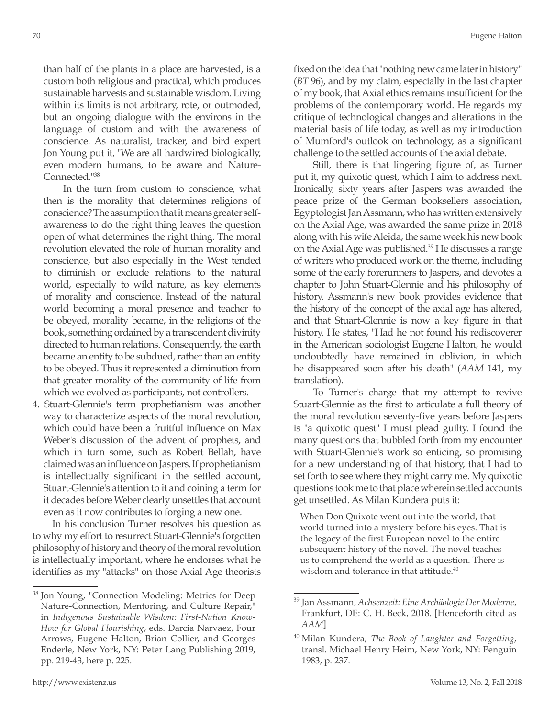than half of the plants in a place are harvested, is a custom both religious and practical, which produces sustainable harvests and sustainable wisdom. Living within its limits is not arbitrary, rote, or outmoded, but an ongoing dialogue with the environs in the language of custom and with the awareness of conscience. As naturalist, tracker, and bird expert Jon Young put it, "We are all hardwired biologically, even modern humans, to be aware and Nature-Connected."38

In the turn from custom to conscience, what then is the morality that determines religions of conscience? The assumption that it means greater selfawareness to do the right thing leaves the question open of what determines the right thing. The moral revolution elevated the role of human morality and conscience, but also especially in the West tended to diminish or exclude relations to the natural world, especially to wild nature, as key elements of morality and conscience. Instead of the natural world becoming a moral presence and teacher to be obeyed, morality became, in the religions of the book, something ordained by a transcendent divinity directed to human relations. Consequently, the earth became an entity to be subdued, rather than an entity to be obeyed. Thus it represented a diminution from that greater morality of the community of life from which we evolved as participants, not controllers.

4. Stuart-Glennie's term prophetianism was another way to characterize aspects of the moral revolution, which could have been a fruitful influence on Max Weber's discussion of the advent of prophets, and which in turn some, such as Robert Bellah, have claimed was an influence on Jaspers. If prophetianism is intellectually significant in the settled account, Stuart-Glennie's attention to it and coining a term for it decades before Weber clearly unsettles that account even as it now contributes to forging a new one.

In his conclusion Turner resolves his question as to why my effort to resurrect Stuart-Glennie's forgotten philosophy of history and theory of the moral revolution is intellectually important, where he endorses what he identifies as my "attacks" on those Axial Age theorists fixed on the idea that "nothing new came later in history" (*BT* 96), and by my claim, especially in the last chapter of my book, that Axial ethics remains insufficient for the problems of the contemporary world. He regards my critique of technological changes and alterations in the material basis of life today, as well as my introduction of Mumford's outlook on technology, as a significant challenge to the settled accounts of the axial debate.

Still, there is that lingering figure of, as Turner put it, my quixotic quest, which I aim to address next. Ironically, sixty years after Jaspers was awarded the peace prize of the German booksellers association, Egyptologist Jan Assmann, who has written extensively on the Axial Age, was awarded the same prize in 2018 along with his wife Aleida, the same week his new book on the Axial Age was published.<sup>39</sup> He discusses a range of writers who produced work on the theme, including some of the early forerunners to Jaspers, and devotes a chapter to John Stuart-Glennie and his philosophy of history. Assmann's new book provides evidence that the history of the concept of the axial age has altered, and that Stuart-Glennie is now a key figure in that history. He states, "Had he not found his rediscoverer in the American sociologist Eugene Halton, he would undoubtedly have remained in oblivion, in which he disappeared soon after his death" (*AAM* 141, my translation).

To Turner's charge that my attempt to revive Stuart-Glennie as the first to articulate a full theory of the moral revolution seventy-five years before Jaspers is "a quixotic quest" I must plead guilty. I found the many questions that bubbled forth from my encounter with Stuart-Glennie's work so enticing, so promising for a new understanding of that history, that I had to set forth to see where they might carry me. My quixotic questions took me to that place wherein settled accounts get unsettled. As Milan Kundera puts it:

When Don Quixote went out into the world, that world turned into a mystery before his eyes. That is the legacy of the first European novel to the entire subsequent history of the novel. The novel teaches us to comprehend the world as a question. There is wisdom and tolerance in that attitude.<sup>40</sup>

<sup>38</sup> Jon Young, "Connection Modeling: Metrics for Deep Nature-Connection, Mentoring, and Culture Repair," in *Indigenous Sustainable Wisdom: First-Nation Know-How for Global Flourishing*, eds. Darcia Narvaez, Four Arrows, Eugene Halton, Brian Collier, and Georges Enderle, New York, NY: Peter Lang Publishing 2019, pp. 219-43, here p. 225.

<sup>39</sup> Jan Assmann, *Achsenzeit: Eine Archäologie Der Moderne*, Frankfurt, DE: C. H. Beck, 2018. [Henceforth cited as *AAM*]

<sup>40</sup> Milan Kundera, *The Book of Laughter and Forgetting*, transl. Michael Henry Heim, New York, NY: Penguin 1983, p. 237.